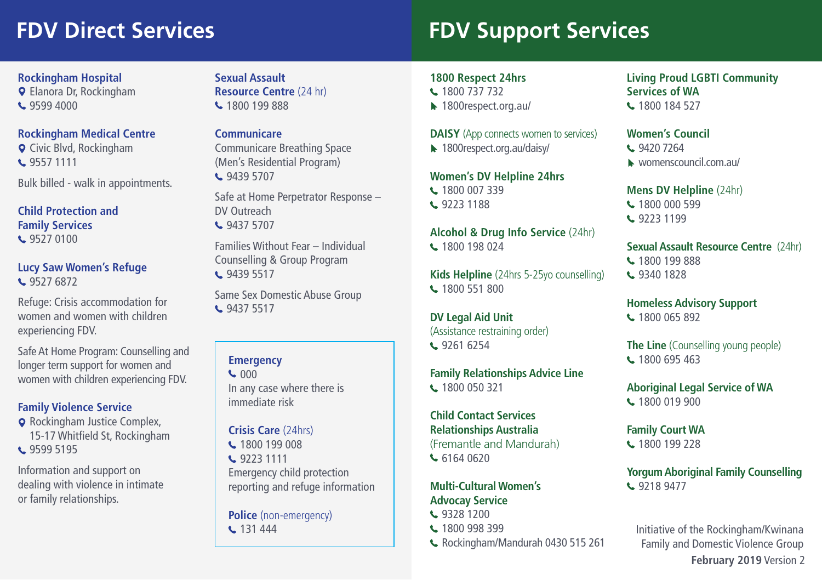# **FDV Direct Services FDV Support Services**

# **Rockingham Hospital**

Elanora Dr, Rockingham **L** 9599 4000

# **Rockingham Medical Centre**

**Q** Civic Blvd, Rockingham C 9557 1111

Bulk billed - walk in appointments.

#### **Child Protection and Family Services L** 9527 0100

#### **Lucy Saw Women's Refuge**  L 9527 6872

Refuge: Crisis accommodation for women and women with children experiencing FDV.

Safe At Home Program: Counselling and longer term support for women and women with children experiencing FDV. **Rockingham Hospital**<br> **Sexual Assault**<br> **Q** Elanora Dr, Rockingham<br> **Resource Centr<br>
<b>Communicare**<br> **C** Civic Blvd, Rockingham<br> **Sexual Assault**<br> **Resource Centr<br>
Communicare Brown Communicare Brown (Mem's Residentic<br>
Com** 

# **Family Violence Service**

**Q** Rockingham Justice Complex, 15-17 Whitfield St, Rockingham C 9599 5195

or family relationships. Information and support on dealing with violence in intimate **Resource Centre** (24 hr) 1800 199 888

# **Communicare**

Communicare Breathing Space (Men's Residential Program) € 9439 5707

Safe at Home Perpetrator Response – DV Outreach **4 9437 5707** 

Families Without Fear – Individual Counselling & Group Program **t.** 9439 5517

Same Sex Domestic Abuse Group **t.** 9437 5517

# **Emergency**

 $C<sub>000</sub>$ In any case where there is immediate risk

# **Crisis Care** (24hrs)

C 1800 199 008

**t.** 9223 1111 Emergency child protection reporting and refuge information

**Police** (non-emergency) **t.** 131 444

# **1800 Respect 24hrs**

- L 1800 737 732
- ▶ 1800respect.org.au/

## **DAISY** (App connects women to services)

1800respect.org.au/daisy/

# **Women's DV Helpline 24hrs**

- L 1800 007 339
- L 9223 1188

**Alcohol & Drug Info Service** (24hr) **t.** 1800 198 024

**Kids Helpline** (24hrs 5-25yo counselling) **L** 1800 551 800

**DV Legal Aid Unit**  (Assistance restraining order) C 9261 6254

# **Family Relationships Advice Line**

1800 050 321

 (Fremantle and Mandurah) **Child Contact Services Relationships Australia**  6164 0620

### **Multi-Cultural Women's Advocay Service**

- C 9328 1200
- C 1800 998 399
- Rockingham/Mandurah 0430 515 261

#### **Living Proud LGBTI Community Services of WA**  L 1800 184 527

# **Women's Council**

- **t.** 9420 7264
- womenscouncil.com.au/

### **Mens DV Helpline** (24hr)

- 1800 000 599
- **t.** 9223 1199

# **Sexual Assault Resource Centre** (24hr)

L 1800 199 888 C 9340 1828

# **Homeless Advisory Support**

**t.** 1800 065 892

**The Line** (Counselling young people) 1800 695 463

**Aboriginal Legal Service of WA**  L 1800 019 900

**Family Court WA**  L 1800 199 228

**Yorgum Aboriginal Family Counselling**  C 9218 9477

Initiative of the Rockingham/Kwinana Family and Domestic Violence Group **February 2019** Version 2